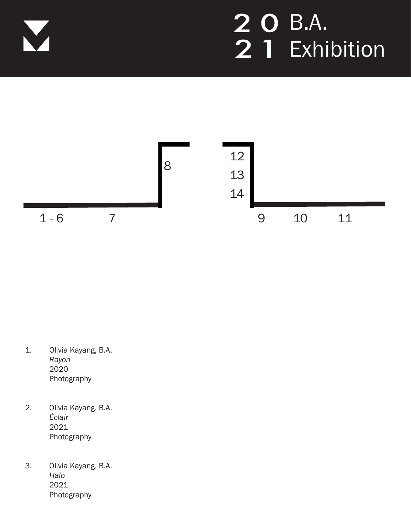



- 1. Olivia Kayang, B.A. *Rayon* 2020 Photography
- 2. Olivia Kayang, B.A. *Éclair* 2021 Photography
- 3. Olivia Kayang, B.A. *Halo* 2021 Photography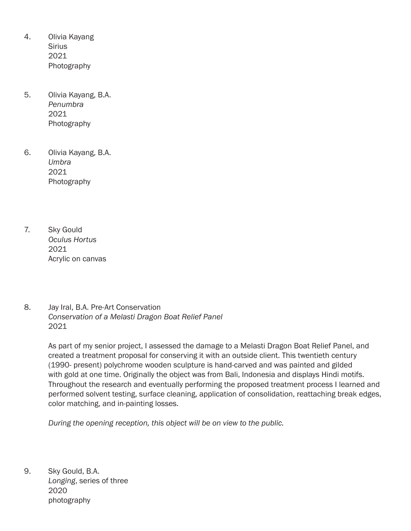- 4. Olivia Kayang **Sirius** 2021 Photography
- 5. Olivia Kayang, B.A. *Penumbra* 2021 Photography
- 6. Olivia Kayang, B.A. *Umbra* 2021 Photography
- 7. Sky Gould *Oculus Hortus*  2021 Acrylic on canvas
- 8. Jay Iral, B.A. Pre-Art Conservation *Conservation of a Melasti Dragon Boat Relief Panel*  2021

As part of my senior project, I assessed the damage to a Melasti Dragon Boat Relief Panel, and created a treatment proposal for conserving it with an outside client. This twentieth century (1990- present) polychrome wooden sculpture is hand-carved and was painted and gilded with gold at one time. Originally the object was from Bali, Indonesia and displays Hindi motifs. Throughout the research and eventually performing the proposed treatment process I learned and performed solvent testing, surface cleaning, application of consolidation, reattaching break edges, color matching, and in-painting losses.

*During the opening reception, this object will be on view to the public.* 

9. Sky Gould, B.A. *Longing*, series of three 2020 photography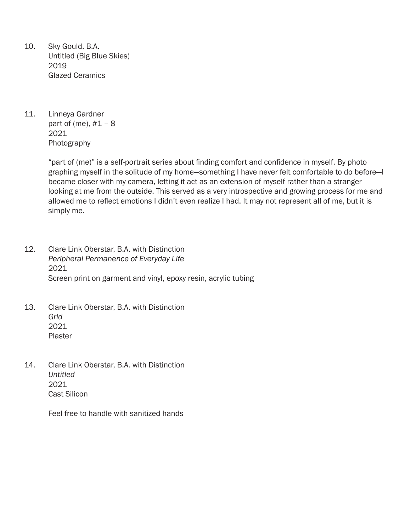- 10. Sky Gould, B.A. Untitled (Big Blue Skies) 2019 Glazed Ceramics
- 11. Linneya Gardner part of (me),  $#1 - 8$ 2021 Photography

 "part of (me)" is a self-portrait series about finding comfort and confidence in myself. By photo graphing myself in the solitude of my home—something I have never felt comfortable to do before—I became closer with my camera, letting it act as an extension of myself rather than a stranger looking at me from the outside. This served as a very introspective and growing process for me and allowed me to reflect emotions I didn't even realize I had. It may not represent all of me, but it is simply me.

- 12. Clare Link Oberstar, B.A. with Distinction *Peripheral Permanence of Everyday Life* 2021 Screen print on garment and vinyl, epoxy resin, acrylic tubing
- 13. Clare Link Oberstar, B.A. with Distinction *Grid* 2021 Plaster
- 14. Clare Link Oberstar, B.A. with Distinction *Untitled*  2021 Cast Silicon

Feel free to handle with sanitized hands